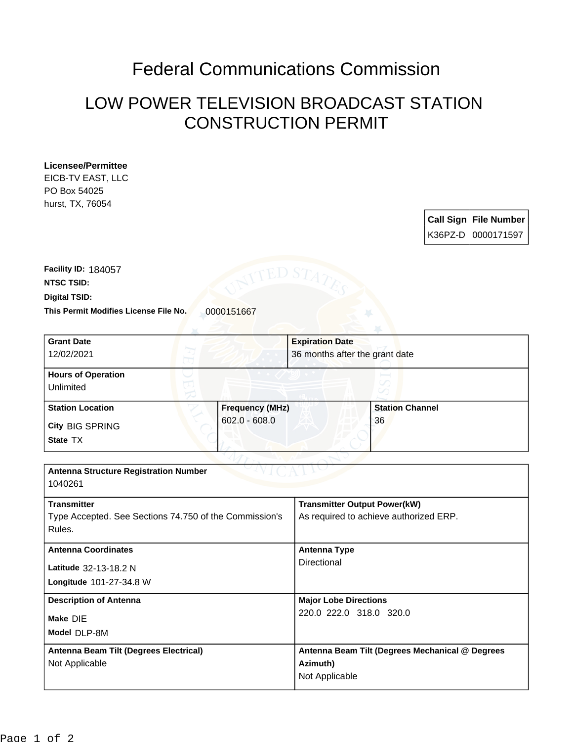## Federal Communications Commission

## LOW POWER TELEVISION BROADCAST STATION CONSTRUCTION PERMIT

## **Licensee/Permittee**

EICB-TV EAST, LLC PO Box 54025 hurst, TX, 76054

| <b>Call Sign File Number</b> |
|------------------------------|
| K36PZ-D 0000171597           |

This Permit Modifies License File No. 0000151667 **Digital TSID: NTSC TSID: Facility ID:** 184057

| <b>Grant Date</b><br>12/02/2021                        |                        | <b>Expiration Date</b><br>36 months after the grant date |                        |  |
|--------------------------------------------------------|------------------------|----------------------------------------------------------|------------------------|--|
| T.                                                     |                        |                                                          |                        |  |
| <b>Hours of Operation</b>                              |                        |                                                          |                        |  |
| Unlimited                                              |                        |                                                          |                        |  |
| <b>Station Location</b>                                | <b>Frequency (MHz)</b> |                                                          | <b>Station Channel</b> |  |
| <b>City BIG SPRING</b>                                 | $602.0 - 608.0$        |                                                          | 36                     |  |
| State TX                                               |                        |                                                          |                        |  |
|                                                        |                        |                                                          |                        |  |
| <b>Antenna Structure Registration Number</b>           |                        |                                                          |                        |  |
| 1040261                                                |                        |                                                          |                        |  |
| <b>Transmitter</b>                                     |                        | <b>Transmitter Output Power(kW)</b>                      |                        |  |
| Type Accepted. See Sections 74.750 of the Commission's |                        | As required to achieve authorized ERP.                   |                        |  |
| Rules.                                                 |                        |                                                          |                        |  |
| <b>Antenna Coordinates</b>                             |                        | <b>Antenna Type</b>                                      |                        |  |
| Latitude 32-13-18.2 N                                  |                        | Directional                                              |                        |  |
| Longitude 101-27-34.8 W                                |                        |                                                          |                        |  |
| <b>Description of Antenna</b>                          |                        | <b>Major Lobe Directions</b>                             |                        |  |
| Make DIE                                               |                        | 220.0 222.0 318.0 320.0                                  |                        |  |
| Model DLP-8M                                           |                        |                                                          |                        |  |
| Antenna Beam Tilt (Degrees Electrical)                 |                        | Antenna Beam Tilt (Degrees Mechanical @ Degrees          |                        |  |
| Not Applicable                                         |                        | Azimuth)                                                 |                        |  |
|                                                        |                        | Not Applicable                                           |                        |  |